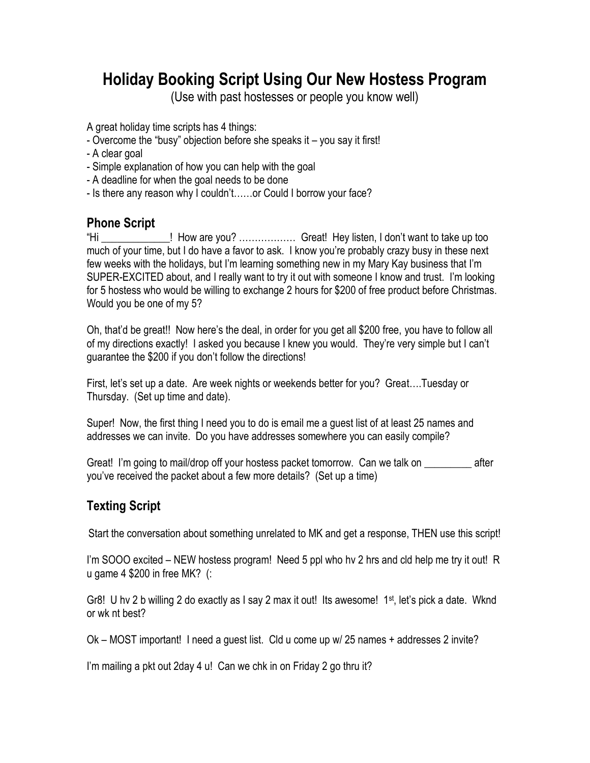## **Holiday Booking Script Using Our New Hostess Program**

(Use with past hostesses or people you know well)

A great holiday time scripts has 4 things:

- Overcome the "busy" objection before she speaks it you say it first!
- A clear goal
- Simple explanation of how you can help with the goal
- A deadline for when the goal needs to be done
- Is there any reason why I couldn't……or Could I borrow your face?

## **Phone Script**

"Hi \_\_\_\_\_\_\_\_\_\_\_\_\_! How are you? ……………… Great! Hey listen, I don't want to take up too much of your time, but I do have a favor to ask. I know you're probably crazy busy in these next few weeks with the holidays, but I'm learning something new in my Mary Kay business that I'm SUPER-EXCITED about, and I really want to try it out with someone I know and trust. I'm looking for 5 hostess who would be willing to exchange 2 hours for \$200 of free product before Christmas. Would you be one of my 5?

Oh, that'd be great!! Now here's the deal, in order for you get all \$200 free, you have to follow all of my directions exactly! I asked you because I knew you would. They're very simple but I can't guarantee the \$200 if you don't follow the directions!

First, let's set up a date. Are week nights or weekends better for you? Great….Tuesday or Thursday. (Set up time and date).

Super! Now, the first thing I need you to do is email me a guest list of at least 25 names and addresses we can invite. Do you have addresses somewhere you can easily compile?

Great! I'm going to mail/drop off your hostess packet tomorrow. Can we talk on \_\_\_\_\_\_\_\_\_ after you've received the packet about a few more details? (Set up a time)

## **Texting Script**

Start the conversation about something unrelated to MK and get a response, THEN use this script!

I'm SOOO excited – NEW hostess program! Need 5 ppl who hv 2 hrs and cld help me try it out! R u game 4 \$200 in free MK? (:

Gr8! U hv 2 b willing 2 do exactly as I say 2 max it out! Its awesome! 1<sup>st</sup>, let's pick a date. Wknd or wk nt best?

Ok – MOST important! I need a guest list. Cld u come up w/ 25 names + addresses 2 invite?

I'm mailing a pkt out 2day 4 u! Can we chk in on Friday 2 go thru it?